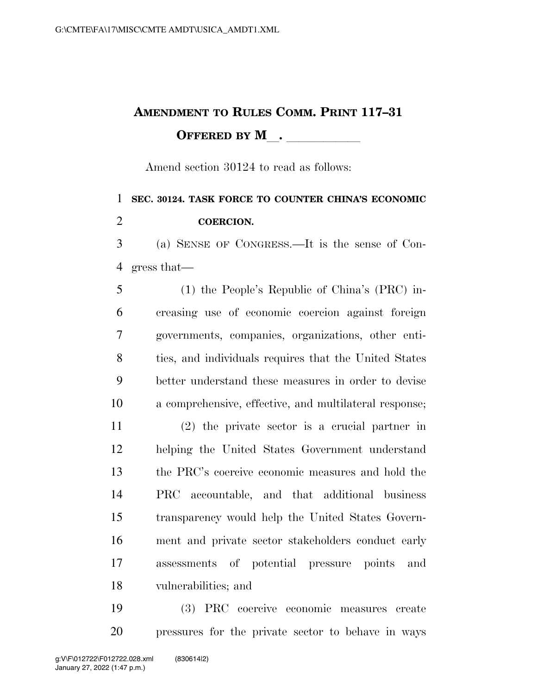## **AMENDMENT TO RULES COMM. PRINT 117–31 OFFERED BY M**.

Amend section 30124 to read as follows:

## **SEC. 30124. TASK FORCE TO COUNTER CHINA'S ECONOMIC COERCION.**

 (a) SENSE OF CONGRESS.—It is the sense of Con-gress that—

 (1) the People's Republic of China's (PRC) in- creasing use of economic coercion against foreign governments, companies, organizations, other enti- ties, and individuals requires that the United States better understand these measures in order to devise a comprehensive, effective, and multilateral response;

 (2) the private sector is a crucial partner in helping the United States Government understand the PRC's coercive economic measures and hold the PRC accountable, and that additional business transparency would help the United States Govern- ment and private sector stakeholders conduct early assessments of potential pressure points and vulnerabilities; and

 (3) PRC coercive economic measures create pressures for the private sector to behave in ways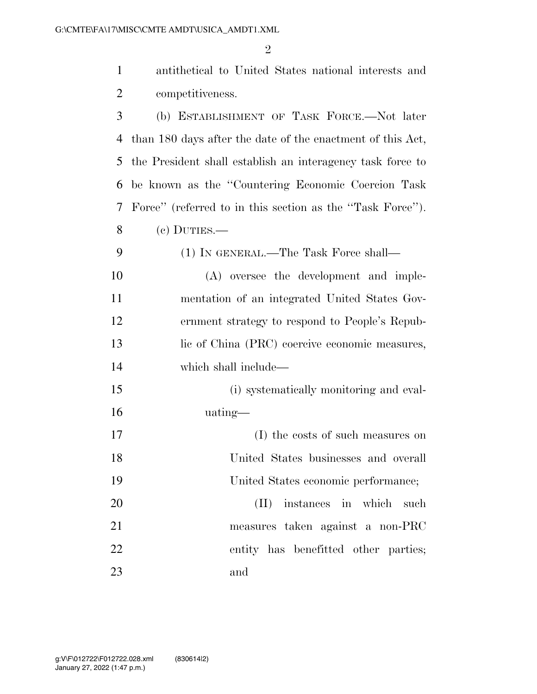| $\mathbf{1}$   | antithetical to United States national interests and       |
|----------------|------------------------------------------------------------|
| $\overline{2}$ | competitiveness.                                           |
| 3              | (b) ESTABLISHMENT OF TASK FORCE.-Not later                 |
| 4              | than 180 days after the date of the enactment of this Act, |
| 5              | the President shall establish an interagency task force to |
| 6              | be known as the "Countering Economic Coercion Task         |
| 7              | Force" (referred to in this section as the "Task Force").  |
| 8              | $(e)$ DUTIES.—                                             |
| 9              | (1) IN GENERAL.—The Task Force shall—                      |
| 10             | (A) oversee the development and imple-                     |
| 11             | mentation of an integrated United States Gov-              |
| 12             | ernment strategy to respond to People's Repub-             |
| 13             | lic of China (PRC) coercive economic measures,             |
| 14             | which shall include—                                       |
| 15             | (i) systematically monitoring and eval-                    |
| 16             | uating—                                                    |
| 17             | (I) the costs of such measures on                          |
| 18             | United States businesses and overall                       |
| 19             | United States economic performance;                        |
| 20             | (II) instances in which such                               |
| 21             | measures taken against a non-PRC                           |
| 22             | entity has benefitted other parties;                       |
| 23             | and                                                        |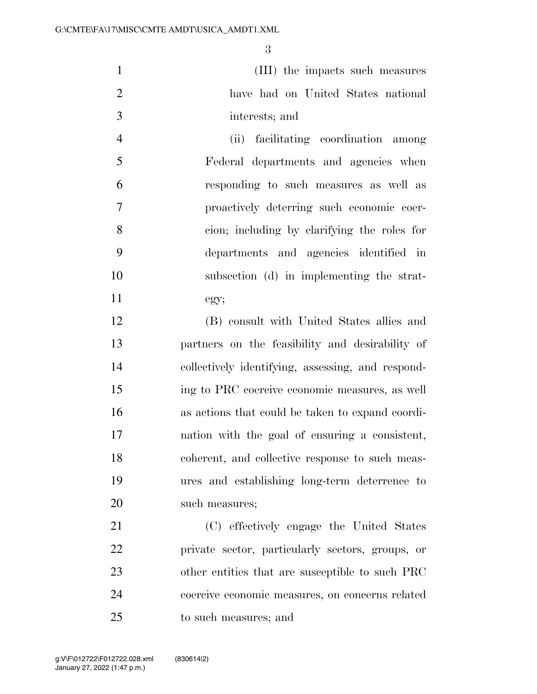(III) the impacts such measures have had on United States national interests; and

 (ii) facilitating coordination among Federal departments and agencies when responding to such measures as well as proactively deterring such economic coer- cion; including by clarifying the roles for departments and agencies identified in subsection (d) in implementing the strat-egy;

 (B) consult with United States allies and partners on the feasibility and desirability of collectively identifying, assessing, and respond- ing to PRC coercive economic measures, as well as actions that could be taken to expand coordi- nation with the goal of ensuring a consistent, coherent, and collective response to such meas- ures and establishing long-term deterrence to such measures;

 (C) effectively engage the United States private sector, particularly sectors, groups, or other entities that are susceptible to such PRC coercive economic measures, on concerns related to such measures; and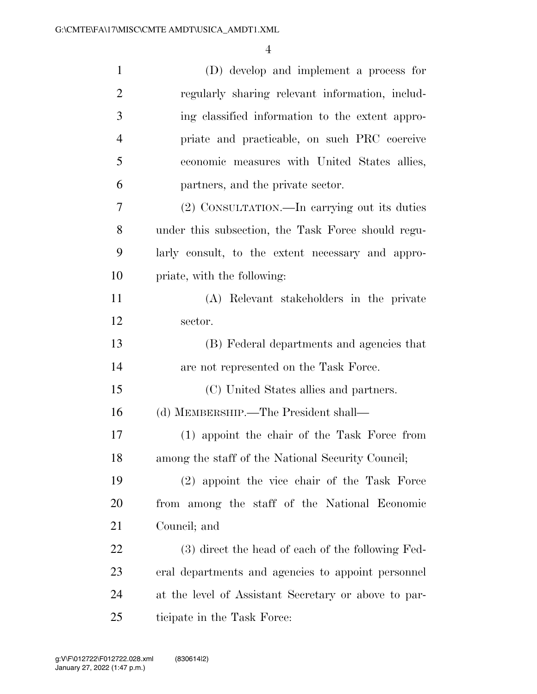| $\mathbf{1}$   | (D) develop and implement a process for              |
|----------------|------------------------------------------------------|
| $\overline{c}$ | regularly sharing relevant information, includ-      |
| 3              | ing classified information to the extent appro-      |
| $\overline{4}$ | priate and practicable, on such PRC coercive         |
| 5              | economic measures with United States allies,         |
| 6              | partners, and the private sector.                    |
| 7              | (2) CONSULTATION.—In carrying out its duties         |
| 8              | under this subsection, the Task Force should regu-   |
| 9              | larly consult, to the extent necessary and appro-    |
| 10             | priate, with the following:                          |
| 11             | (A) Relevant stakeholders in the private             |
| 12             | sector.                                              |
| 13             | (B) Federal departments and agencies that            |
| 14             | are not represented on the Task Force.               |
| 15             | (C) United States allies and partners.               |
| 16             | (d) MEMBERSHIP.—The President shall—                 |
| 17             | (1) appoint the chair of the Task Force from         |
| 18             | among the staff of the National Security Council;    |
| 19             | (2) appoint the vice chair of the Task Force         |
| <b>20</b>      | from among the staff of the National Economic        |
| 21             | Council; and                                         |
| 22             | (3) direct the head of each of the following Fed-    |
| 23             | eral departments and agencies to appoint personnel   |
| 24             | at the level of Assistant Secretary or above to par- |
| 25             | ticipate in the Task Force:                          |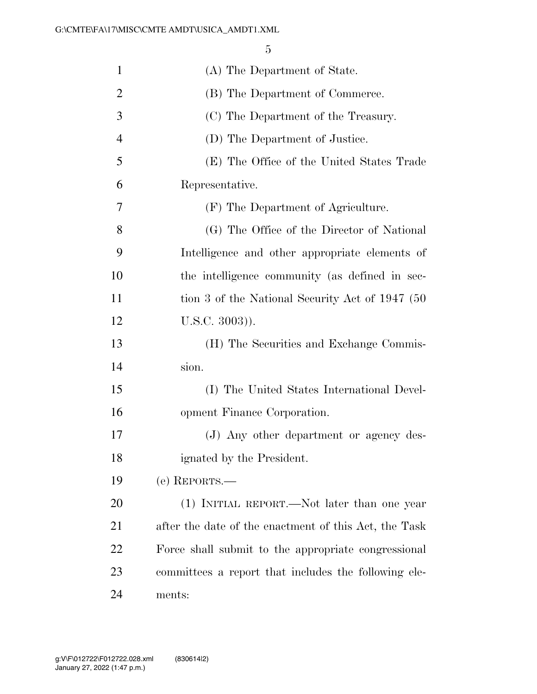| $\mathbf{1}$   | (A) The Department of State.                          |
|----------------|-------------------------------------------------------|
| $\overline{2}$ | (B) The Department of Commerce.                       |
| 3              | (C) The Department of the Treasury.                   |
| $\overline{4}$ | (D) The Department of Justice.                        |
| 5              | (E) The Office of the United States Trade             |
| 6              | Representative.                                       |
| 7              | (F) The Department of Agriculture.                    |
| 8              | (G) The Office of the Director of National            |
| 9              | Intelligence and other appropriate elements of        |
| 10             | the intelligence community (as defined in sec-        |
| 11             | tion 3 of the National Security Act of 1947 (50)      |
| 12             | $U.S.C. 3003)$ ).                                     |
| 13             | (H) The Securities and Exchange Commis-               |
| 14             | sion.                                                 |
| 15             | (I) The United States International Devel-            |
| 16             | opment Finance Corporation.                           |
| 17             | (J) Any other department or agency des-               |
| 18             | ignated by the President.                             |
| 19             | (e) REPORTS.—                                         |
| 20             | (1) INITIAL REPORT.—Not later than one year           |
| 21             | after the date of the enactment of this Act, the Task |
| 22             | Force shall submit to the appropriate congressional   |
| 23             | committees a report that includes the following ele-  |
| 24             | ments:                                                |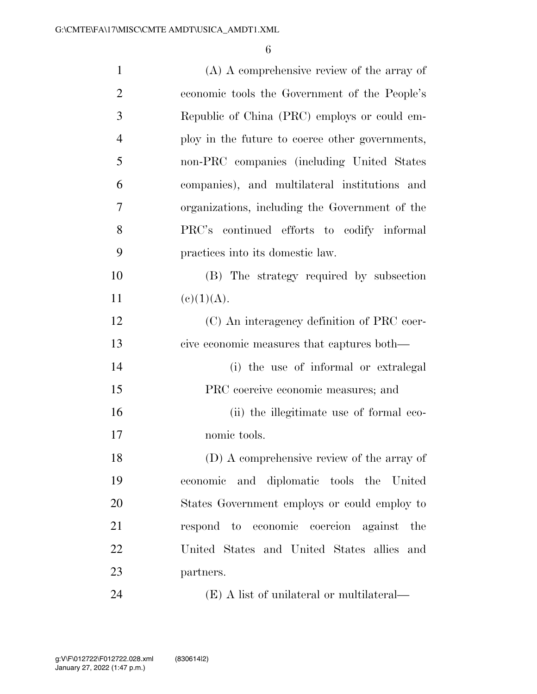| $\mathbf{1}$   | $(A)$ A comprehensive review of the array of    |
|----------------|-------------------------------------------------|
| $\overline{2}$ | economic tools the Government of the People's   |
| 3              | Republic of China (PRC) employs or could em-    |
| $\overline{4}$ | ploy in the future to coerce other governments, |
| 5              | non-PRC companies (including United States      |
| 6              | companies), and multilateral institutions and   |
| $\tau$         | organizations, including the Government of the  |
| 8              | PRC's continued efforts to codify informal      |
| 9              | practices into its domestic law.                |
| 10             | (B) The strategy required by subsection         |
| 11             | (c)(1)(A).                                      |
| 12             | (C) An interagency definition of PRC coer-      |
| 13             | cive economic measures that captures both—      |
| 14             | (i) the use of informal or extralegal           |
| 15             | PRC coercive economic measures; and             |
| 16             | (ii) the illegitimate use of formal eco-        |
| 17             | nomic tools.                                    |
| 18             | (D) A comprehensive review of the array of      |
| 19             | economic and diplomatic tools the United        |
| 20             | States Government employs or could employ to    |
| 21             | respond to economic coercion against the        |
| 22             | United States and United States allies and      |
| 23             | partners.                                       |
| 24             | (E) A list of unilateral or multilateral—       |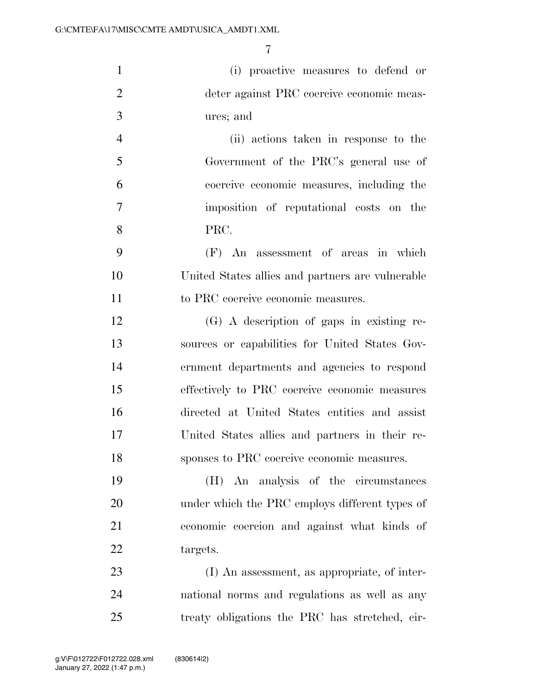| $\mathbf{1}$   | (i) proactive measures to defend or              |
|----------------|--------------------------------------------------|
| $\overline{2}$ | deter against PRC coercive economic meas-        |
| 3              | ures; and                                        |
| $\overline{4}$ | (ii) actions taken in response to the            |
| 5              | Government of the PRC's general use of           |
| 6              | coercive economic measures, including the        |
| $\tau$         | imposition of reputational costs on the          |
| 8              | PRC.                                             |
| 9              | (F) An assessment of areas in which              |
| 10             | United States allies and partners are vulnerable |
| 11             | to PRC coercive economic measures.               |
| 12             | (G) A description of gaps in existing re-        |
| 13             | sources or capabilities for United States Gov-   |
| 14             | ernment departments and agencies to respond      |
| 15             | effectively to PRC coercive economic measures    |
| 16             | directed at United States entities and assist    |
| 17             | United States allies and partners in their re-   |
| 18             | sponses to PRC coercive economic measures.       |
| 19             | (H) An analysis of the circumstances             |
| 20             | under which the PRC employs different types of   |
| 21             | economic coercion and against what kinds of      |
| 22             | targets.                                         |
| 23             | (I) An assessment, as appropriate, of inter-     |
| 24             | national norms and regulations as well as any    |
| 25             | treaty obligations the PRC has stretched, cir-   |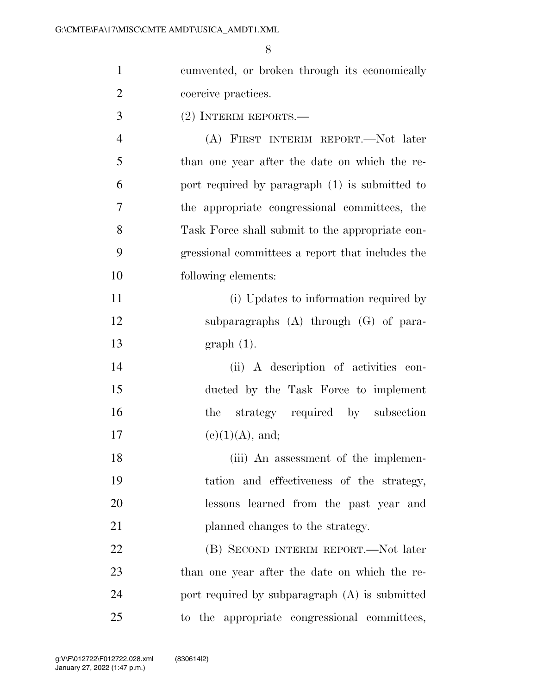| $\mathbf{1}$   | cumvented, or broken through its economically    |
|----------------|--------------------------------------------------|
| $\overline{2}$ | coercive practices.                              |
| 3              | $(2)$ INTERIM REPORTS.—                          |
| $\overline{4}$ | (A) FIRST INTERIM REPORT.—Not later              |
| 5              | than one year after the date on which the re-    |
| 6              | port required by paragraph (1) is submitted to   |
| $\tau$         | the appropriate congressional committees, the    |
| 8              | Task Force shall submit to the appropriate con-  |
| 9              | gressional committees a report that includes the |
| 10             | following elements:                              |
| 11             | (i) Updates to information required by           |
| 12             | subparagraphs $(A)$ through $(G)$ of para-       |
| 13             | $graph(1)$ .                                     |
| 14             | (ii) A description of activities con-            |
| 15             | ducted by the Task Force to implement            |
| 16             | the strategy required by subsection              |
| 17             | $(e)(1)(A)$ , and;                               |
| 18             | (iii) An assessment of the implemen-             |
| 19             | tation and effectiveness of the strategy,        |
| 20             | lessons learned from the past year and           |
| 21             | planned changes to the strategy.                 |
| 22             | (B) SECOND INTERIM REPORT.—Not later             |
| 23             | than one year after the date on which the re-    |
| 24             | port required by subparagraph (A) is submitted   |
| 25             | to the appropriate congressional committees,     |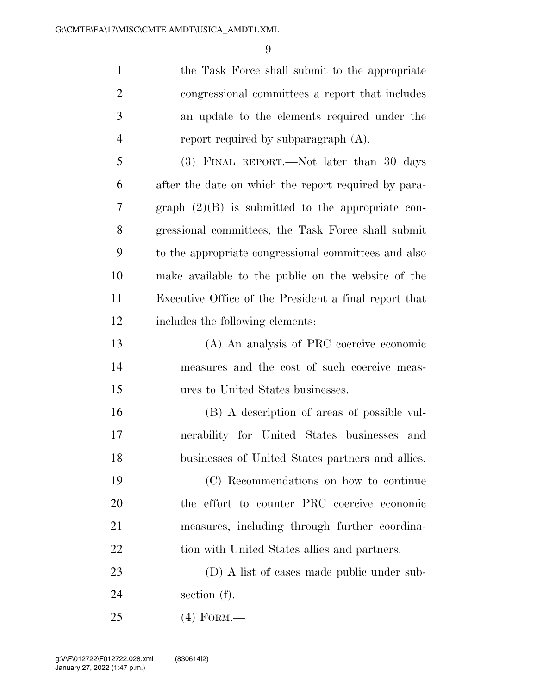1 the Task Force shall submit to the appropriate congressional committees a report that includes an update to the elements required under the 4 report required by subparagraph (A). (3) FINAL REPORT.—Not later than 30 days

 after the date on which the report required by para- graph (2)(B) is submitted to the appropriate con- gressional committees, the Task Force shall submit to the appropriate congressional committees and also make available to the public on the website of the Executive Office of the President a final report that includes the following elements:

 (A) An analysis of PRC coercive economic measures and the cost of such coercive meas-ures to United States businesses.

 (B) A description of areas of possible vul- nerability for United States businesses and businesses of United States partners and allies.

 (C) Recommendations on how to continue the effort to counter PRC coercive economic measures, including through further coordina-22 tion with United States allies and partners.

 (D) A list of cases made public under sub-section (f).

(4) FORM.—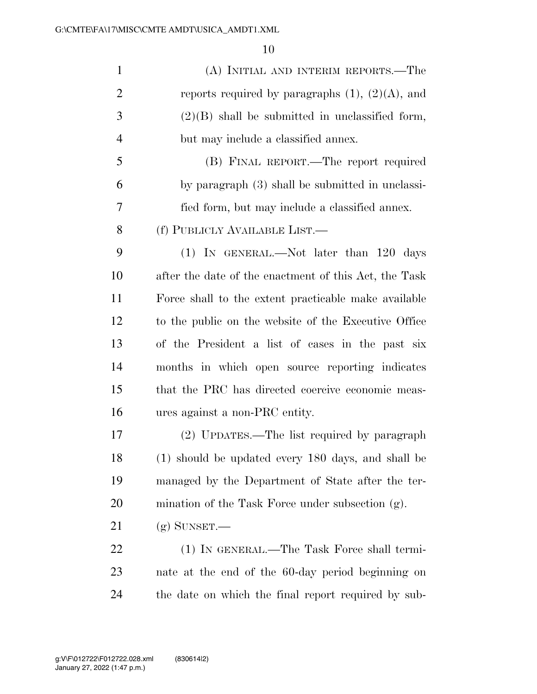| $\mathbf{1}$   | (A) INITIAL AND INTERIM REPORTS.—The                  |
|----------------|-------------------------------------------------------|
| $\overline{2}$ | reports required by paragraphs $(1)$ , $(2)(A)$ , and |
| 3              | $(2)(B)$ shall be submitted in unclassified form,     |
| $\overline{4}$ | but may include a classified annex.                   |
| 5              | (B) FINAL REPORT.—The report required                 |
| 6              | by paragraph (3) shall be submitted in unclassi-      |
| 7              | fied form, but may include a classified annex.        |
| 8              | (f) PUBLICLY AVAILABLE LIST.—                         |
| 9              | $(1)$ In GENERAL.—Not later than 120 days             |
| 10             | after the date of the enactment of this Act, the Task |
| 11             | Force shall to the extent practicable make available  |
| 12             | to the public on the website of the Executive Office  |
| 13             | of the President a list of cases in the past six      |
| 14             | months in which open source reporting indicates       |
| 15             | that the PRC has directed coercive economic meas-     |
| 16             | ures against a non-PRC entity.                        |
| 17             | (2) UPDATES.—The list required by paragraph           |
| 18             | (1) should be updated every 180 days, and shall be    |
| 19             | managed by the Department of State after the ter-     |
| 20             | mination of the Task Force under subsection (g).      |
| 21             | $(g)$ SUNSET.—                                        |
| <u>22</u>      | (1) IN GENERAL.—The Task Force shall termi-           |
| 23             | nate at the end of the 60-day period beginning on     |
| 24             | the date on which the final report required by sub-   |